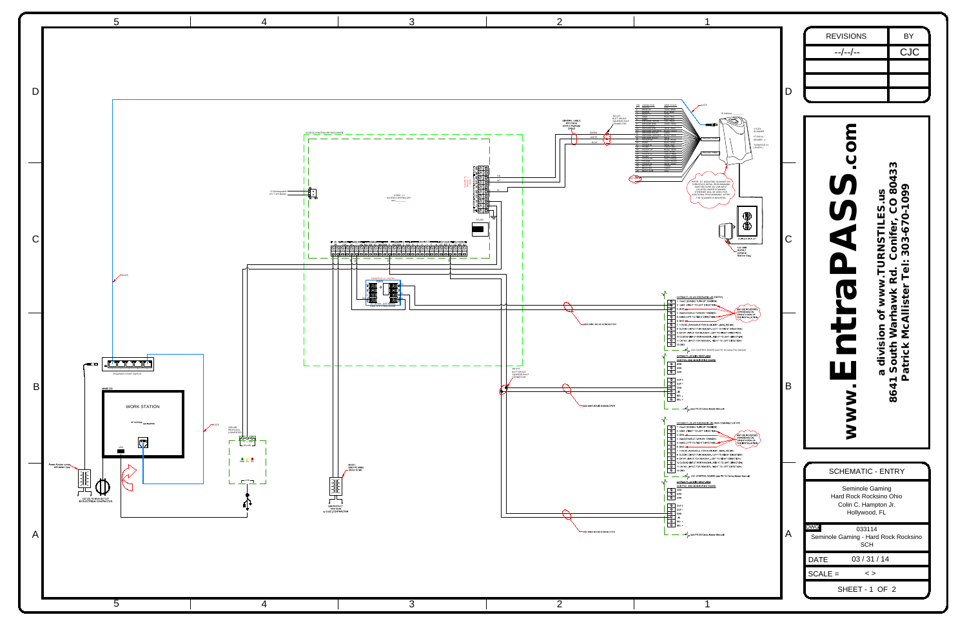

|--|

|                                                                                                                                                                                                                                                                                                                                                                                                                                                                                                                                    |             | <b>REVISIONS</b><br>$- - / - - / - -$                                                                                         | <b>BY</b><br>CJC  |
|------------------------------------------------------------------------------------------------------------------------------------------------------------------------------------------------------------------------------------------------------------------------------------------------------------------------------------------------------------------------------------------------------------------------------------------------------------------------------------------------------------------------------------|-------------|-------------------------------------------------------------------------------------------------------------------------------|-------------------|
| CAT5                                                                                                                                                                                                                                                                                                                                                                                                                                                                                                                               | D           |                                                                                                                               |                   |
| IP Address<br><b>dina property</b><br>V-FLEX<br>SCANNER<br>KT-300 #1<br>PIGTAIL TX/RX<br>READER - 1<br>TURNSTILE #1<br>(ENTRY)<br>PIGTAIL PWR                                                                                                                                                                                                                                                                                                                                                                                      |             |                                                                                                                               |                   |
| PRIOR TO MOUNTING SCANNER ON<br>TURNSTILES INITIAL PROGRAMMING<br>MUST BE DONE VIA USB INPUT<br>LOCATED UNDER SCANNER.<br>ETHERNET WILL BE USED FOR<br>ADDITIONAL PROGRAMMING AFTER<br>THE SCANNER IN MOUNTED.<br>.W<br>DUPLEX OUTLET<br>12V PWR<br><b>SUPPLY</b><br>comes w/<br>Scanner (typ.)<br>with DROP-ARM - #1 (ENTRY)                                                                                                                                                                                                      | $\mathsf C$ | 0433<br>$\bar{\infty}$<br>U)<br>Conife                                                                                        | σ.<br>ပ<br>S<br>S |
| BLE TURN BY TENSION)<br>IT TO LEFT DIRECTION<br>MAY BE REVERSED<br>DEPENDING ON<br>ORIENTATION OF<br>LE TURN BY TENSION)<br>TO RIGHT DIRECTION)<br>THE INSTALLATION,<br>AILABLE FOR AUXILIARY - MAX 500 MA)<br>PUT FOR READER - LEFT TO RIGHT DIRECTION)<br>JT FOR READER - LEFT TO RIGHT DIRECTION)<br>PUT FOR READER - RIGHT TO LEFT DIRECTION)<br>UT FOR READER - RIGHT TO LEFT DIRECTION)<br>CN1 CONTROL BOARD (see PG 16 Catrax Plus Manual)<br>WITH DROP-ARM<br><u>D MONITORING BOARD</u><br>see PG 23 Catrax Master Manual) | B           | $\bar{5}$<br>$\sigma$<br>864<br>WWW                                                                                           |                   |
| with DROP-ARM - #2 (ADA COMBINED ENTRY)<br>BLE TURN BY TENSION)<br>IT TO LEFT DIRECTION).<br>MAY BE REVERSED<br>DEPENDING ON<br>LE TURN BY TENSION)<br>ORIENTATION OF<br>TO RIGHT DIRECTION)<br>THE INSTALLATION,<br>AILABLE FOR AUXILIARY - MAX 500 MA)<br>PUT FOR READER - LEFT TO RIGHT DIRECTION)<br>JT FOR READER - LEFT TO RIGHT DIRECTION)<br>PUT FOR READER - RIGHT TO LEFT DIRECTION)<br>UT FOR READER - RIGHT TO LEFT DIRECTION)                                                                                         |             |                                                                                                                               |                   |
| CN1 CONTROL BOARD (see PG 16 Catrax Master Manual)<br>WITH DROP-ARM<br><b>MONITORING BOARD</b>                                                                                                                                                                                                                                                                                                                                                                                                                                     |             | <b>SCHEMATIC - ENTRY</b><br><b>Seminole Gaming</b><br><b>Hard Rock Rocksino Ohio</b><br>Colin C. Hampton Jr.<br>Hollywood, FL |                   |
| see PG 23 Catrax Master Manual)                                                                                                                                                                                                                                                                                                                                                                                                                                                                                                    | Α           | <b>DWG</b><br>033114<br>Seminole Gaming - Hard Rock Rocksino<br><b>SCH</b><br>03/31/14<br><b>DATE</b>                         |                   |
|                                                                                                                                                                                                                                                                                                                                                                                                                                                                                                                                    |             | $SCALE =$<br>$\langle$ >                                                                                                      |                   |
|                                                                                                                                                                                                                                                                                                                                                                                                                                                                                                                                    |             |                                                                                                                               |                   |